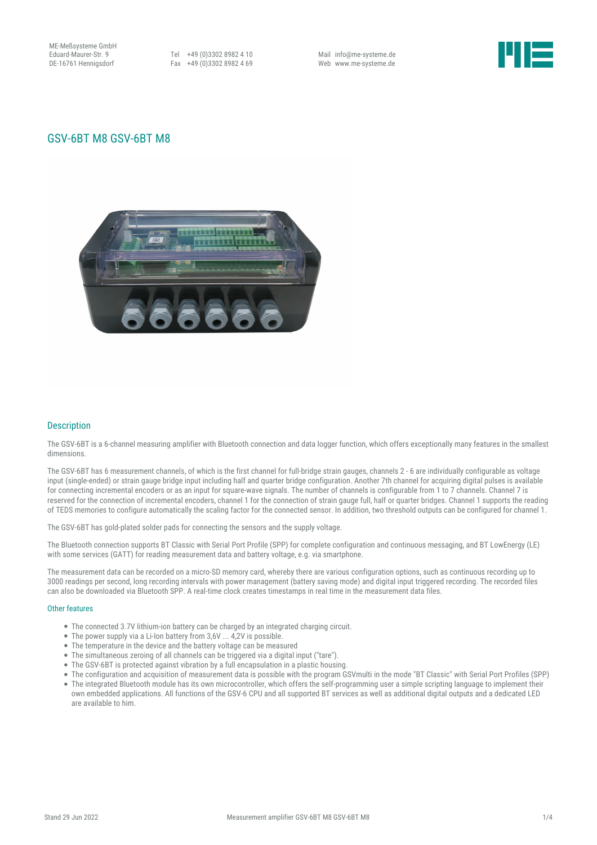ME-Meßsysteme GmbH Eduard-Maurer-Str. 9 DE-16761 Hennigsdorf

Tel +49 (0)3302 8982 4 10 Fax +49 (0)3302 8982 4 69

Mail info@me-systeme.de Web www.me-systeme.de



# GSV-6BT M8 GSV-6BT M8



## Description

The GSV-6BT is a 6-channel measuring amplifier with Bluetooth connection and data logger function, which offers exceptionally many features in the smallest dimensions.

The GSV-6BT has 6 measurement channels, of which is the first channel for full-bridge strain gauges, channels 2 - 6 are individually configurable as voltage input (single-ended) or strain gauge bridge input including half and quarter bridge configuration. Another 7th channel for acquiring digital pulses is available for connecting incremental encoders or as an input for square-wave signals. The number of channels is configurable from 1 to 7 channels. Channel 7 is reserved for the connection of incremental encoders, channel 1 for the connection of strain gauge full, half or quarter bridges. Channel 1 supports the reading of TEDS memories to configure automatically the scaling factor for the connected sensor. In addition, two threshold outputs can be configured for channel 1.

The GSV-6BT has gold-plated solder pads for connecting the sensors and the supply voltage.

The Bluetooth connection supports BT Classic with Serial Port Profile (SPP) for complete configuration and continuous messaging, and BT LowEnergy (LE) with some services (GATT) for reading measurement data and battery voltage, e.g. via smartphone.

The measurement data can be recorded on a micro-SD memory card, whereby there are various configuration options, such as continuous recording up to 3000 readings per second, long recording intervals with power management (battery saving mode) and digital input triggered recording. The recorded files can also be downloaded via Bluetooth SPP. A real-time clock creates timestamps in real time in the measurement data files.

#### Other features

- The connected 3.7V lithium-ion battery can be charged by an integrated charging circuit.
- The power supply via a Li-Ion battery from 3,6V ... 4,2V is possible.
- The temperature in the device and the battery voltage can be measured
- The simultaneous zeroing of all channels can be triggered via a digital input ("tare").
- The GSV-6BT is protected against vibration by a full encapsulation in a plastic housing.
- The configuration and acquisition of measurement data is possible with the program GSVmulti in the mode "BT Classic" with Serial Port Profiles (SPP)
- The integrated Bluetooth module has its own microcontroller, which offers the self-programming user a simple scripting language to implement their own embedded applications. All functions of the GSV-6 CPU and allsupported BT services as well as additional digital outputs and a dedicated LED are available to him.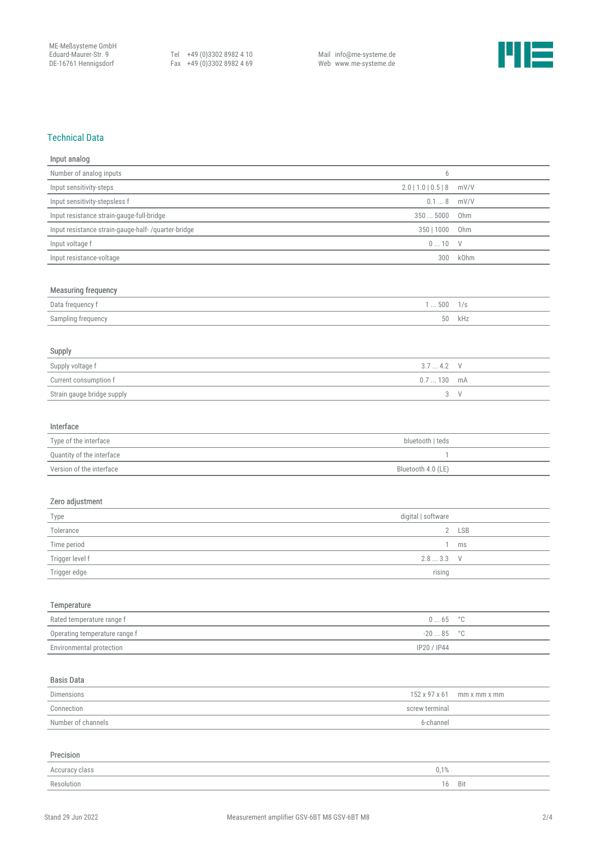Tel +49 (0)3302 8982 4 10 Fax +49 (0)3302 8982 4 69 Mail info@me-systeme.de Web www.me-systeme.de



## Technical Data

| Input analog                                              |                       |                       |
|-----------------------------------------------------------|-----------------------|-----------------------|
| Number of analog inputs                                   | 6                     |                       |
| Input sensitivity-steps                                   | $2.0$   1.0   0.5   8 | mV/V                  |
| Input sensitivity-stepsless f                             | 0.18                  | mV/V                  |
| Input resistance strain-gauge-full-bridge                 | 3505000               | Ohm                   |
| Input resistance strain-gauge-half- /quarter-bridge       | 350   1000            | Ohm                   |
| Input voltage f                                           | 010                   | $\vee$                |
| Input resistance-voltage                                  | 300                   | kOhm                  |
|                                                           |                       |                       |
| <b>Measuring frequency</b>                                |                       |                       |
| Data frequency f                                          | 1500                  | 1/s                   |
| Sampling frequency                                        | 50                    | kHz                   |
|                                                           |                       |                       |
| Supply                                                    |                       |                       |
| Supply voltage f                                          | 3.74.2                | $\vee$                |
| Current consumption f                                     | 0.7130                | mA                    |
| Strain gauge bridge supply                                | 3                     | $\vee$                |
|                                                           |                       |                       |
| Interface                                                 |                       |                       |
| Type of the interface                                     | bluetooth   teds      |                       |
| Quantity of the interface                                 | 1                     |                       |
| Version of the interface                                  | Bluetooth 4.0 (LE)    |                       |
|                                                           |                       |                       |
| Zero adjustment                                           |                       |                       |
|                                                           | digital   software    |                       |
| Type<br>Tolerance                                         | $\overline{2}$        | <b>LSB</b>            |
| Time period                                               | 1                     | ms                    |
| Trigger level f                                           | 2.83.3                | $\vee$                |
| Trigger edge                                              | rising                |                       |
|                                                           |                       |                       |
|                                                           |                       |                       |
| Temperature                                               |                       |                       |
| Rated temperature range f                                 | $0 \ldots 65$         | $^{\circ} \mathbb{C}$ |
| Operating temperature range f<br>Environmental protection | $-2085$               | $^{\circ}{\rm C}$     |
|                                                           | IP20 / IP44           |                       |
|                                                           |                       |                       |
| <b>Basis Data</b>                                         |                       |                       |
| Dimensions                                                | 152 x 97 x 61         | mm x mm x mm          |
| Connection                                                | screw terminal        |                       |
| Number of channels                                        | 6-channel             |                       |
|                                                           |                       |                       |

| Precision              |            |
|------------------------|------------|
| 0.1%<br>Accuracy class |            |
| Resolution<br>16       | <b>Bit</b> |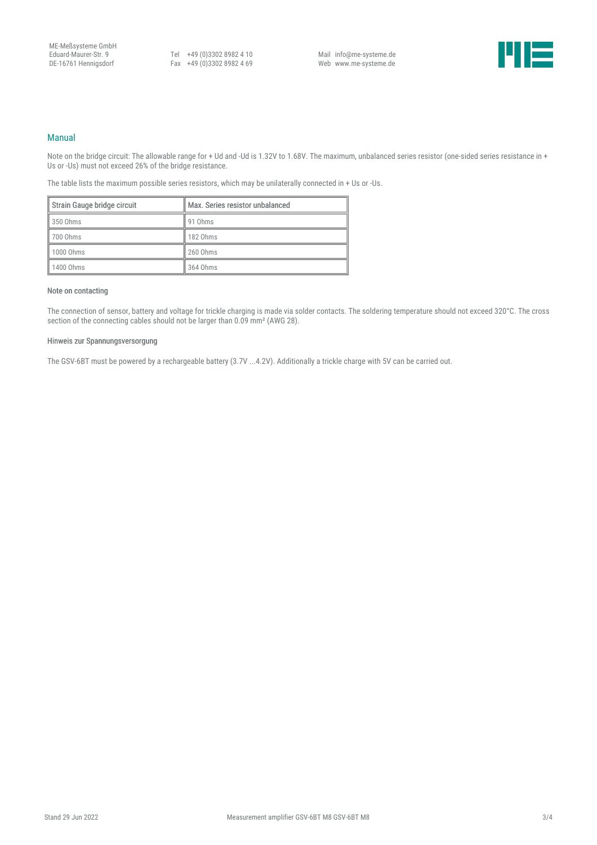Tel +49 (0)3302 8982 4 10 Fax +49 (0)3302 8982 4 69

Mail info@me-systeme.de Web www.me-systeme.de



#### Manual

Note on the bridge circuit: The allowable range for + Ud and -Ud is 1.32V to 1.68V. The maximum, unbalanced series resistor (one-sided series resistance in + Us or -Us) must not exceed 26% of the bridge resistance.

The table lists the maximum possible series resistors, which may be unilaterally connected in + Us or -Us.

| Strain Gauge bridge circuit | Max. Series resistor unbalanced |
|-----------------------------|---------------------------------|
| 350 Ohms                    | 91 Ohms                         |
| 700 Ohms                    | 182 Ohms                        |
| 1000 Ohms                   | 260 Ohms                        |
| 1400 Ohms                   | 364 Ohms                        |

### Note on contacting

The connection of sensor, battery and voltage for trickle charging is made via solder contacts. The soldering temperature should not exceed 320°C. The cross section of the connecting cables should not be larger than 0.09 mm² (AWG 28).

#### Hinweis zur Spannungsversorgung

The GSV-6BT must be powered by a rechargeable battery (3.7V ...4.2V). Additionally a trickle charge with 5V can be carried out.